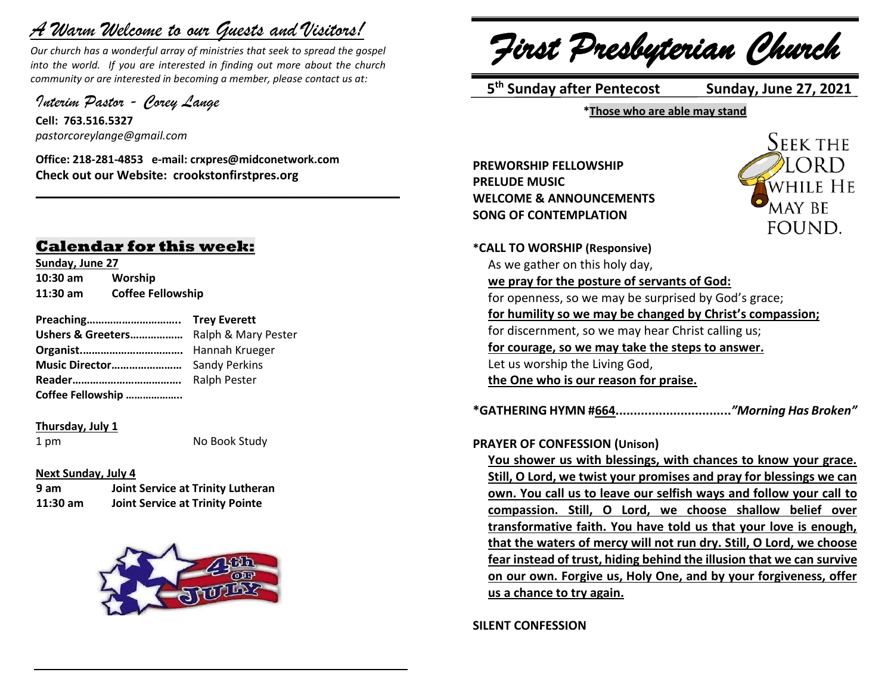# *A Warm Welcome to our Guests and Visitors!*

*Our church has a wonderful array of ministries that seek to spread the gospel into the world. If you are interested in finding out more about the church community or are interested in becoming a member, please contact us at:*

**\_\_\_\_\_\_\_\_\_\_\_\_\_\_\_\_\_\_\_\_\_\_\_\_\_\_\_\_\_\_\_\_\_\_\_\_\_\_\_\_\_\_\_\_\_\_\_\_\_\_\_\_\_\_**

*Interim Pastor - Corey Lange* 

**Cell: 763.516.5327** *pastorcoreylange@gmail.com*

**Office: 218-281-4853 e-mail: crxpres@midconetwork.com Check out our Website: crookstonfirstpres.org**

## **Calendar for this week:**

**Sunday, June 27 10:30 am Worship 11:30 am Coffee Fellowship**

**Preaching………………………….. Trey Everett Ushers & Greeters………………** Ralph & Mary Pester **Organist.…………………………….** Hannah Krueger **Music Director……………………** Sandy Perkins **Reader……………………………….** Ralph Pester **Coffee Fellowship ………………..**

**Thursday, July 1**

1 pm No Book Study

#### **Next Sunday, July 4**

| 9 am       | Joint Service at Trinity Lutheran      |
|------------|----------------------------------------|
| $11:30$ am | <b>Joint Service at Trinity Pointe</b> |



*First Presbyterian Church*

 **5 th Sunday after Pentecost Sunday, June 27, 2021**

**\*Those who are able may stand**

**PREWORSHIP FELLOWSHIP PRELUDE MUSIC WELCOME & ANNOUNCEMENTS SONG OF CONTEMPLATION**



**\*CALL TO WORSHIP (Responsive)** As we gather on this holy day, **we pray for the posture of servants of God:** for openness, so we may be surprised by God's grace; **for humility so we may be changed by Christ's compassion;** for discernment, so we may hear Christ calling us; **for courage, so we may take the steps to answer.** Let us worship the Living God, **the One who is our reason for praise.**

**\*GATHERING HYMN #664................................***"Morning Has Broken"*

#### **PRAYER OF CONFESSION (Unison)**

**You shower us with blessings, with chances to know your grace. Still, O Lord, we twist your promises and pray for blessings we can own. You call us to leave our selfish ways and follow your call to compassion. Still, O Lord, we choose shallow belief over transformative faith. You have told us that your love is enough, that the waters of mercy will not run dry. Still, O Lord, we choose fear instead of trust, hiding behind the illusion that we can survive on our own. Forgive us, Holy One, and by your forgiveness, offer us a chance to try again.**

**SILENT CONFESSION**